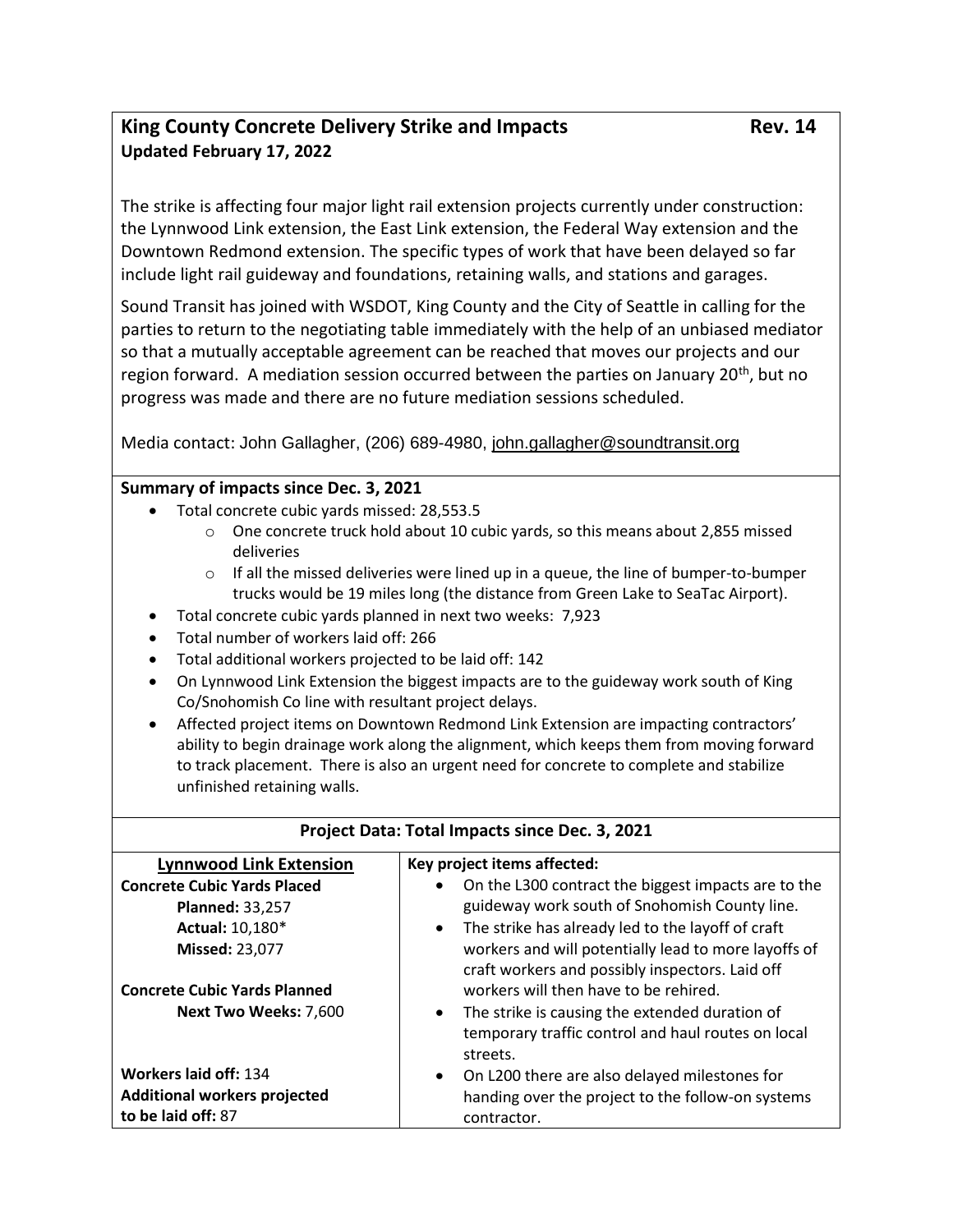## King County Concrete Delivery Strike and Impacts Rev. 14 **Updated February 17, 2022**

The strike is affecting four major light rail extension projects currently under construction: the Lynnwood Link extension, the East Link extension, the Federal Way extension and the Downtown Redmond extension. The specific types of work that have been delayed so far include light rail guideway and foundations, retaining walls, and stations and garages.

Sound Transit has joined with WSDOT, King County and the City of Seattle in calling for the parties to return to the negotiating table immediately with the help of an unbiased mediator so that a mutually acceptable agreement can be reached that moves our projects and our region forward. A mediation session occurred between the parties on January 20<sup>th</sup>, but no progress was made and there are no future mediation sessions scheduled.

Media contact: John Gallagher, (206) 689-4980, [john.gallagher@soundtransit.org](mailto:john.gallagher@soundtransit.org)

## **Summary of impacts since Dec. 3, 2021**

- Total concrete cubic yards missed: 28,553.5
	- $\circ$  One concrete truck hold about 10 cubic yards, so this means about 2,855 missed deliveries
	- $\circ$  If all the missed deliveries were lined up in a queue, the line of bumper-to-bumper trucks would be 19 miles long (the distance from Green Lake to SeaTac Airport).
- Total concrete cubic yards planned in next two weeks:  7,923
- Total number of workers laid off: 266
- Total additional workers projected to be laid off: 142
- On Lynnwood Link Extension the biggest impacts are to the guideway work south of King Co/Snohomish Co line with resultant project delays.
- Affected project items on Downtown Redmond Link Extension are impacting contractors' ability to begin drainage work along the alignment, which keeps them from moving forward to track placement. There is also an urgent need for concrete to complete and stabilize unfinished retaining walls.

| Project Data: Total Impacts since Dec. 3, 2021            |                                                                                                                               |
|-----------------------------------------------------------|-------------------------------------------------------------------------------------------------------------------------------|
| <b>Lynnwood Link Extension</b>                            | Key project items affected:                                                                                                   |
| <b>Concrete Cubic Yards Placed</b>                        | On the L300 contract the biggest impacts are to the<br>$\bullet$                                                              |
| <b>Planned: 33,257</b>                                    | guideway work south of Snohomish County line.                                                                                 |
| Actual: 10,180*                                           | The strike has already led to the layoff of craft<br>$\bullet$                                                                |
| <b>Missed: 23,077</b>                                     | workers and will potentially lead to more layoffs of<br>craft workers and possibly inspectors. Laid off                       |
| <b>Concrete Cubic Yards Planned</b>                       | workers will then have to be rehired.                                                                                         |
| <b>Next Two Weeks: 7,600</b>                              | The strike is causing the extended duration of<br>$\bullet$<br>temporary traffic control and haul routes on local<br>streets. |
| Workers laid off: 134                                     | On L200 there are also delayed milestones for<br>$\bullet$                                                                    |
| <b>Additional workers projected</b><br>to be laid off: 87 | handing over the project to the follow-on systems<br>contractor.                                                              |